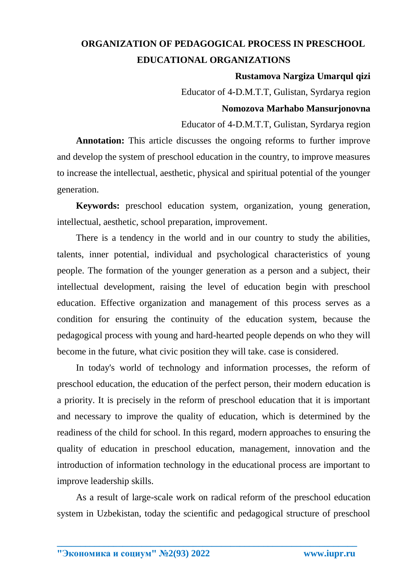## **ORGANIZATION OF PEDAGOGICAL PROCESS IN PRESCHOOL EDUCATIONAL ORGANIZATIONS**

**Rustamova Nargiza Umarqul qizi**

Educator of 4-D.M.T.T, Gulistan, Syrdarya region

## **Nomozova Marhabo Mansurjonovna**

Educator of 4-D.M.T.T, Gulistan, Syrdarya region

**Annotation:** This article discusses the ongoing reforms to further improve and develop the system of preschool education in the country, to improve measures to increase the intellectual, aesthetic, physical and spiritual potential of the younger generation.

**Keywords:** preschool education system, organization, young generation, intellectual, aesthetic, school preparation, improvement.

There is a tendency in the world and in our country to study the abilities, talents, inner potential, individual and psychological characteristics of young people. The formation of the younger generation as a person and a subject, their intellectual development, raising the level of education begin with preschool education. Effective organization and management of this process serves as a condition for ensuring the continuity of the education system, because the pedagogical process with young and hard-hearted people depends on who they will become in the future, what civic position they will take. case is considered.

In today's world of technology and information processes, the reform of preschool education, the education of the perfect person, their modern education is a priority. It is precisely in the reform of preschool education that it is important and necessary to improve the quality of education, which is determined by the readiness of the child for school. In this regard, modern approaches to ensuring the quality of education in preschool education, management, innovation and the introduction of information technology in the educational process are important to improve leadership skills.

As a result of large-scale work on radical reform of the preschool education system in Uzbekistan, today the scientific and pedagogical structure of preschool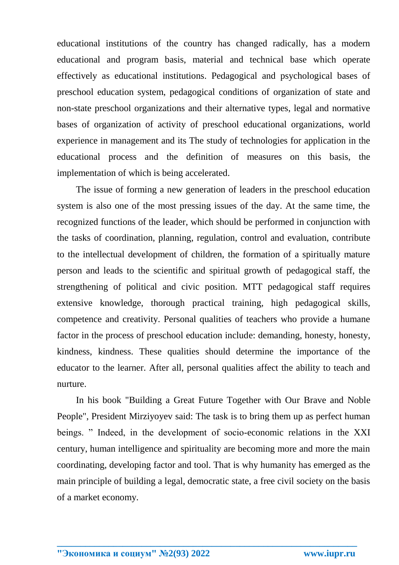educational institutions of the country has changed radically, has a modern educational and program basis, material and technical base which operate effectively as educational institutions. Pedagogical and psychological bases of preschool education system, pedagogical conditions of organization of state and non-state preschool organizations and their alternative types, legal and normative bases of organization of activity of preschool educational organizations, world experience in management and its The study of technologies for application in the educational process and the definition of measures on this basis, the implementation of which is being accelerated.

The issue of forming a new generation of leaders in the preschool education system is also one of the most pressing issues of the day. At the same time, the recognized functions of the leader, which should be performed in conjunction with the tasks of coordination, planning, regulation, control and evaluation, contribute to the intellectual development of children, the formation of a spiritually mature person and leads to the scientific and spiritual growth of pedagogical staff, the strengthening of political and civic position. MTT pedagogical staff requires extensive knowledge, thorough practical training, high pedagogical skills, competence and creativity. Personal qualities of teachers who provide a humane factor in the process of preschool education include: demanding, honesty, honesty, kindness, kindness. These qualities should determine the importance of the educator to the learner. After all, personal qualities affect the ability to teach and nurture.

In his book "Building a Great Future Together with Our Brave and Noble People", President Mirziyoyev said: The task is to bring them up as perfect human beings. " Indeed, in the development of socio-economic relations in the XXI century, human intelligence and spirituality are becoming more and more the main coordinating, developing factor and tool. That is why humanity has emerged as the main principle of building a legal, democratic state, a free civil society on the basis of a market economy.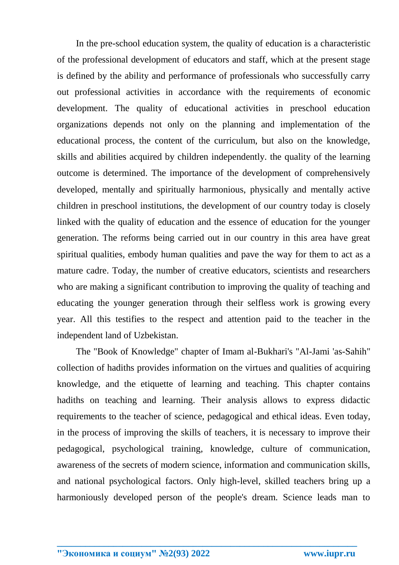In the pre-school education system, the quality of education is a characteristic of the professional development of educators and staff, which at the present stage is defined by the ability and performance of professionals who successfully carry out professional activities in accordance with the requirements of economic development. The quality of educational activities in preschool education organizations depends not only on the planning and implementation of the educational process, the content of the curriculum, but also on the knowledge, skills and abilities acquired by children independently. the quality of the learning outcome is determined. The importance of the development of comprehensively developed, mentally and spiritually harmonious, physically and mentally active children in preschool institutions, the development of our country today is closely linked with the quality of education and the essence of education for the younger generation. The reforms being carried out in our country in this area have great spiritual qualities, embody human qualities and pave the way for them to act as a mature cadre. Today, the number of creative educators, scientists and researchers who are making a significant contribution to improving the quality of teaching and educating the younger generation through their selfless work is growing every year. All this testifies to the respect and attention paid to the teacher in the independent land of Uzbekistan.

The "Book of Knowledge" chapter of Imam al-Bukhari's "Al-Jami 'as-Sahih" collection of hadiths provides information on the virtues and qualities of acquiring knowledge, and the etiquette of learning and teaching. This chapter contains hadiths on teaching and learning. Their analysis allows to express didactic requirements to the teacher of science, pedagogical and ethical ideas. Even today, in the process of improving the skills of teachers, it is necessary to improve their pedagogical, psychological training, knowledge, culture of communication, awareness of the secrets of modern science, information and communication skills, and national psychological factors. Only high-level, skilled teachers bring up a harmoniously developed person of the people's dream. Science leads man to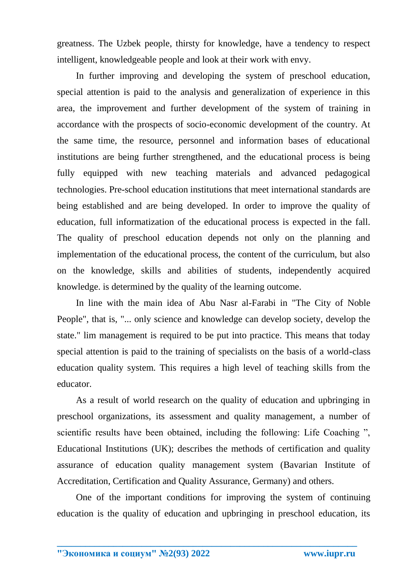greatness. The Uzbek people, thirsty for knowledge, have a tendency to respect intelligent, knowledgeable people and look at their work with envy.

In further improving and developing the system of preschool education, special attention is paid to the analysis and generalization of experience in this area, the improvement and further development of the system of training in accordance with the prospects of socio-economic development of the country. At the same time, the resource, personnel and information bases of educational institutions are being further strengthened, and the educational process is being fully equipped with new teaching materials and advanced pedagogical technologies. Pre-school education institutions that meet international standards are being established and are being developed. In order to improve the quality of education, full informatization of the educational process is expected in the fall. The quality of preschool education depends not only on the planning and implementation of the educational process, the content of the curriculum, but also on the knowledge, skills and abilities of students, independently acquired knowledge. is determined by the quality of the learning outcome.

In line with the main idea of Abu Nasr al-Farabi in "The City of Noble People", that is, "... only science and knowledge can develop society, develop the state." lim management is required to be put into practice. This means that today special attention is paid to the training of specialists on the basis of a world-class education quality system. This requires a high level of teaching skills from the educator.

As a result of world research on the quality of education and upbringing in preschool organizations, its assessment and quality management, a number of scientific results have been obtained, including the following: Life Coaching ", Educational Institutions (UK); describes the methods of certification and quality assurance of education quality management system (Bavarian Institute of Accreditation, Certification and Quality Assurance, Germany) and others.

One of the important conditions for improving the system of continuing education is the quality of education and upbringing in preschool education, its